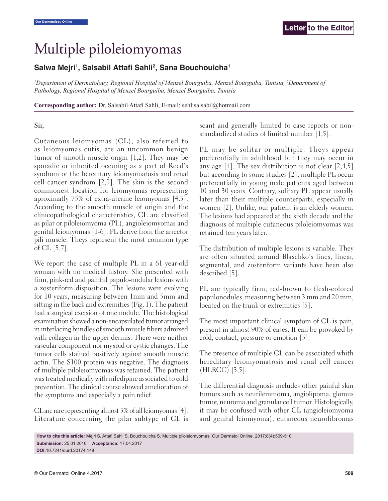## Multiple piloleiomyomas

## Salwa Mejri<sup>1</sup>, Salsabil Attafi Sahli<sup>2</sup>, Sana Bouchouicha<sup>1</sup>

*1 Department of Dermatology, Regional Hospital of Menzel Bourguiba, Menzel Bourguiba, Tunisia, 2 Department of Pathology, Regional Hospital of Menzel Bourguiba, Menzel Bourguiba, Tunisia*

**Corresponding author:** Dr. Salsabil Attafi Sahli, E-mail: sehlisalsabil@hotmail.com

## **Sir,**

Cutaneous leiomyomas (CL), also referred to as leiomyomas cutis, are an uncommon benign tumor of smooth muscle origin [1,2]. They may be sporadic or inherited occuring as a part of Reed's syndrom or the hereditary leiomyomatosis and renal cell cancer syndrom [2,3]. The skin is the second commonest location for leiomyomas representing aproximatly 75% of extra-uterine leiomyomas [4,5]. According to the smooth muscle of origin and the clinicopathological characteristics, CL are classified as pilar or piloleiomyoma (PL), angioleiomyomas and genital leiomyomas [1-6]. PL derive from the arrector pili muscle. Theys represent the most common type of CL [5,7].

We report the case of multiple PL in a 61 year-old woman with no medical history. She presented with firm, pink-red and painful papulo-nodular lesions with a zosteriform disposition. The lesions were evolving for 10 years, measuring between 1mm and 5mm and sitting in the back and extremities (Fig. 1). The patient had a surgical excision of one nodule. The histological examination showed a non-encapsulated tumor arranged in interlacing bundles of smooth muscle fibers admixed with collagen in the upper dermis. There were neither vascular component nor myxoid or cystic changes. The tumor cells stained positively against smooth muscle actin. The S100 protein was negative. The diagnosis of multiple piloleiomyomas was retained. The patient was treated medically with nifedipine associated to cold prevention. The clinical course showed amelioration of the symptoms and especially a pain relief.

CL are rare representing almost 5% of all leiomyomas [4]. Literature concerning the pilar subtype of CL is scant and generally limited to case reports or nonstandardized studies of limited number [1,5].

PL may be solitar or multiple. Theys appear preferentially in adulthood but they may occur in any age  $[4]$ . The sex distribution is not clear  $[2,4,5]$ but according to some studies [2], multiple PL occur preferentially in young male patients aged between 10 and 30 years. Contrary, solitary PL appear usually later than their multiple counterparts, especially in women [2]. Unlike, our patient is an elderly women. The lesions had appeared at the sixth decade and the diagnosis of multiple cutaneous piloleiomyomas was retained ten years later.

The distribution of multiple lesions is variable. They are often situated around Blaschko's lines, linear, segmental, and zosteriform variants have been also described [5].

PL are typically firm, red-brown to flesh-colored papulonodules, measuring between 3 mm and 20 mm, located on the trunk or extremities [5].

The most important clinical symptom of CL is pain, present in almost 90% of cases. It can be provoked by cold, contact, pressure or emotion [5].

The presence of multiple CL can be associated whith hereditary leiomyomatosis and renal cell cancer (HLRCC) [3,5].

The differential diagnosis includes other painful skin tumors such as neurilemmoma, angiolipoma, glomus tumor, neuroma and granular cell tumor. Histologically, it may be confused with other CL (angioleiomyoma and genital leiomyoma), cutaneous neurofibromas

**How to cite this article:** Mejri S, Attafi Sahli S, Bouchouicha S. Multiple piloleiomyomas. Our Dermatol Online. 2017;8(4):509-510. **Submission:** 25.01.2016; **Acceptance:** 17.04.2017 **DOI:**10.7241/ourd.20174.148